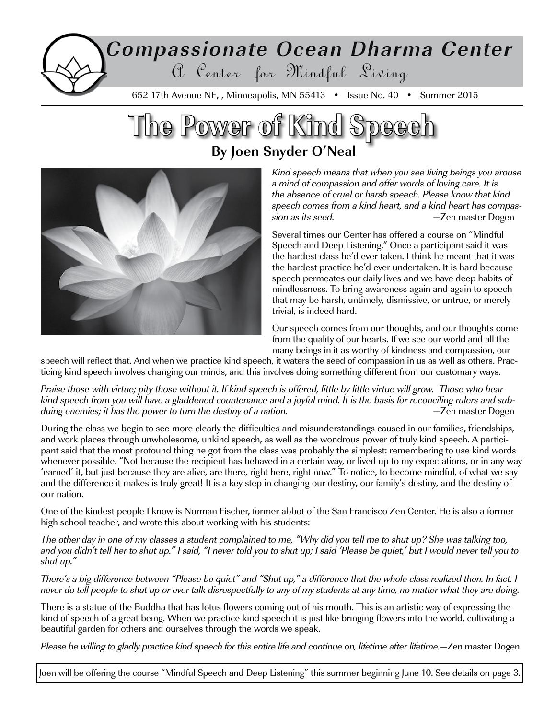# Compassionate Ocean Dharma Center a Center for Mindful Living

652 17th Avenue NE, , Minneapolis, MN 55413 • Issue No. 40 • Summer 2015

## **The Power of Kind Speech By Joen Snyder O'Neal**



Kind speech means that when you see living beings you arouse a mind of compassion and offer words of loving care. It is the absence of cruel or harsh speech. Please know that kind speech comes from a kind heart, and a kind heart has compassion as its seed. **Example 2** and a set of the second vector of the set of the set of the set of the set of the set of the set of the set of the set of the set of the set of the set of the set of the set of the set of the

Several times our Center has offered a course on "Mindful Speech and Deep Listening." Once a participant said it was the hardest class he'd ever taken. I think he meant that it was the hardest practice he'd ever undertaken. It is hard because speech permeates our daily lives and we have deep habits of mindlessness. To bring awareness again and again to speech that may be harsh, untimely, dismissive, or untrue, or merely trivial, is indeed hard.

Our speech comes from our thoughts, and our thoughts come from the quality of our hearts. If we see our world and all the many beings in it as worthy of kindness and compassion, our

speech will reflect that. And when we practice kind speech, it waters the seed of compassion in us as well as others. Practicing kind speech involves changing our minds, and this involves doing something different from our customary ways.

Praise those with virtue; pity those without it. If kind speech is offered, little by little virtue will grow. Those who hear kind speech from you will have a gladdened countenance and a joyful mind. It is the basis for reconciling rulers and subduing enemies; it has the power to turn the destiny of a nation. The contract the contract of the power of a nation.

During the class we begin to see more clearly the difficulties and misunderstandings caused in our families, friendships, and work places through unwholesome, unkind speech, as well as the wondrous power of truly kind speech. A participant said that the most profound thing he got from the class was probably the simplest: remembering to use kind words whenever possible. "Not because the recipient has behaved in a certain way, or lived up to my expectations, or in any way 'earned' it, but just because they are alive, are there, right here, right now." To notice, to become mindful, of what we say and the difference it makes is truly great! It is a key step in changing our destiny, our family's destiny, and the destiny of our nation.

One of the kindest people I know is Norman Fischer, former abbot of the San Francisco Zen Center. He is also a former high school teacher, and wrote this about working with his students:

The other day in one of my classes a student complained to me, "Why did you tell me to shut up? She was talking too, and you didn't tell her to shut up." I said, "I never told you to shut up; I said 'Please be quiet,' but I would never tell you to shut up."

There's a big difference between "Please be quiet" and "Shut up," a difference that the whole class realized then. In fact, I never do tell people to shut up or ever talk disrespectfully to any of my students at any time, no matter what they are doing.

There is a statue of the Buddha that has lotus flowers coming out of his mouth. This is an artistic way of expressing the kind of speech of a great being. When we practice kind speech it is just like bringing flowers into the world, cultivating a beautiful garden for others and ourselves through the words we speak.

Please be willing to gladly practice kind speech for this entire life and continue on, lifetime after lifetime.—Zen master Dogen.

Joen will be offering the course "Mindful Speech and Deep Listening" this summer beginning June 10. See details on page 3.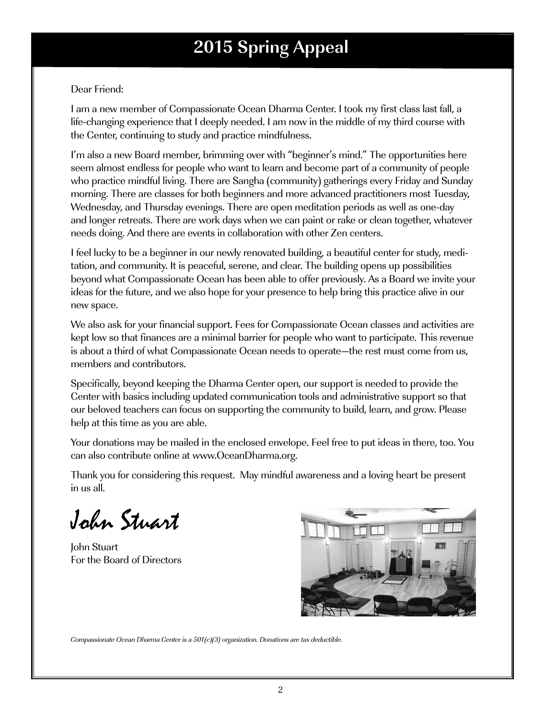## **2015 Spring Appeal**

#### Dear Friend:

I am a new member of Compassionate Ocean Dharma Center. I took my first class last fall, a life-changing experience that I deeply needed. I am now in the middle of my third course with the Center, continuing to study and practice mindfulness.

I'm also a new Board member, brimming over with "beginner's mind." The opportunities here seem almost endless for people who want to learn and become part of a community of people who practice mindful living. There are Sangha (community) gatherings every Friday and Sunday morning. There are classes for both beginners and more advanced practitioners most Tuesday, Wednesday, and Thursday evenings. There are open meditation periods as well as one-day and longer retreats. There are work days when we can paint or rake or clean together, whatever needs doing. And there are events in collaboration with other Zen centers.

I feel lucky to be a beginner in our newly renovated building, a beautiful center for study, meditation, and community. It is peaceful, serene, and clear. The building opens up possibilities beyond what Compassionate Ocean has been able to offer previously. As a Board we invite your ideas for the future, and we also hope for your presence to help bring this practice alive in our new space.

We also ask for your financial support. Fees for Compassionate Ocean classes and activities are kept low so that finances are a minimal barrier for people who want to participate. This revenue is about a third of what Compassionate Ocean needs to operate—the rest must come from us, members and contributors.

Specifically, beyond keeping the Dharma Center open, our support is needed to provide the Center with basics including updated communication tools and administrative support so that our beloved teachers can focus on supporting the community to build, learn, and grow. Please help at this time as you are able.

Your donations may be mailed in the enclosed envelope. Feel free to put ideas in there, too. You can also contribute online at www.OceanDharma.org.

Thank you for considering this request. May mindful awareness and a loving heart be present in us all.

John Stuart

John Stuart For the Board of Directors



Compassionate Ocean Dharma Center is a 501(c)(3) organization. Donations are tax deductible.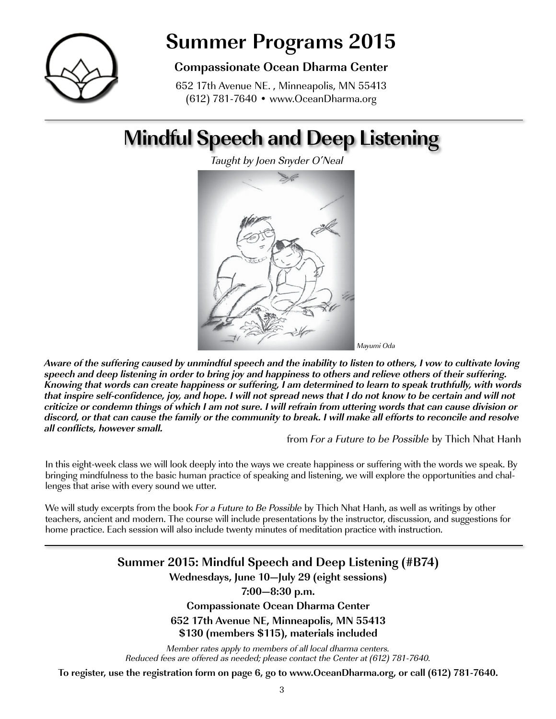

## **Summer Programs 2015**

### **Compassionate Ocean Dharma Center**

652 17th Avenue NE. , Minneapolis, MN 55413 (612) 781-7640 • www.OceanDharma.org

## **Mindful Speech and Deep Listening**

Taught by Joen Snyder O'Neal



**Aware of the suffering caused by unmindful speech and the inability to listen to others, I vow to cultivate loving speech and deep listening in order to bring joy and happiness to others and relieve others of their suffering. Knowing that words can create happiness or suffering, I am determined to learn to speak truthfully, with words that inspire self-confidence, joy, and hope. I will not spread news that I do not know to be certain and will not criticize or condemn things of which I am not sure. I will refrain from uttering words that can cause division or discord, or that can cause the family or the community to break. I will make all efforts to reconcile and resolve all conflicts, however small.** 

from For a Future to be Possible by Thich Nhat Hanh

In this eight-week class we will look deeply into the ways we create happiness or suffering with the words we speak. By bringing mindfulness to the basic human practice of speaking and listening, we will explore the opportunities and challenges that arise with every sound we utter.

We will study excerpts from the book For a Future to Be Possible by Thich Nhat Hanh, as well as writings by other teachers, ancient and modern. The course will include presentations by the instructor, discussion, and suggestions for home practice. Each session will also include twenty minutes of meditation practice with instruction.

### **Summer 2015: Mindful Speech and Deep Listening (#B74) Wednesdays, June 10—July 29 (eight sessions) 7:00—8:30 p.m. Compassionate Ocean Dharma Center 652 17th Avenue NE, Minneapolis, MN 55413 \$130 (members \$115), materials included**

Member rates apply to members of all local dharma centers. Reduced fees are offered as needed; please contact the Center at (612) 781-7640.

**To register, use the registration form on page 6, go to www.OceanDharma.org, or call (612) 781-7640.**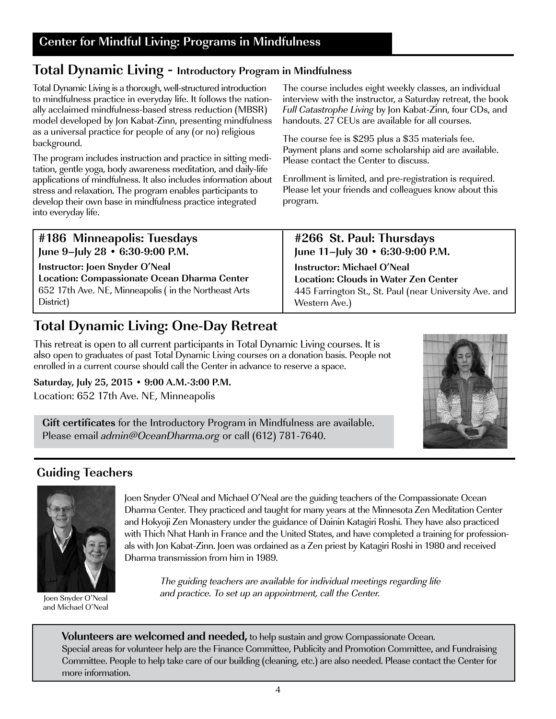## **Total Dynamic Living - Introductory Program in Mindfulness**

Total Dynamic Living is a thorough, well-structured introduction to mindfulness practice in everyday life. It follows the nationally acclaimed mindfulness-based stress reduction (MBSR) model developed by Jon Kabat-Zinn, presenting mindfulness as a universal practice for people of any (or no) religious background.

The program includes instruction and practice in sitting meditation, gentle yoga, body awareness meditation, and daily-life applications of mindfulness. It also includes information about stress and relaxation. The program enables participants to develop their own base in mindfulness practice integrated into everyday life.

The course includes eight weekly classes, an individual interview with the instructor, a Saturday retreat, the book Full Catastrophe Living by Jon Kabat-Zinn, four CDs, and handouts. 27 CEUs are available for all courses.

The course fee is \$295 plus a \$35 materials fee. Payment plans and some scholarship aid are available. Please contact the Center to discuss.

Enrollment is limited, and pre-registration is required. Please let your friends and colleagues know about this program.

| #186 Minneapolis: Tuesdays                           | #266 St. Paul: Thursdays                               |
|------------------------------------------------------|--------------------------------------------------------|
| June 9-July 28 • 6:30-9:00 P.M.                      | June 11-July 30 • 6:30-9:00 P.M.                       |
| Instructor: Joen Snyder O'Neal                       | <b>Instructor: Michael O'Neal</b>                      |
| Location: Compassionate Ocean Dharma Center          | <b>Location: Clouds in Water Zen Center</b>            |
| 652 17th Ave. NE, Minneapolis (in the Northeast Arts | 445 Farrington St., St. Paul (near University Ave. and |
| District)                                            | Western Ave.)                                          |

## **Total Dynamic Living: One-Day Retreat**

This retreat is open to all current participants in Total Dynamic Living courses. It is also open to graduates of past Total Dynamic Living courses on a donation basis. People not enrolled in a current course should call the Center in advance to reserve a space.

#### **Saturday, July 25, 2015 • 9:00 A.M.-3:00 P.M.**

Location: 652 17th Ave. NE, Minneapolis

**Gift certificates** for the Introductory Program in Mindfulness are available. Please email *admin@OceanDharma.org* or call (612) 781-7640.

## **Guiding Teachers**



Joen Snyder O'Neal and Michael O'Neal

Joen Snyder O'Neal and Michael O'Neal are the guiding teachers of the Compassionate Ocean Dharma Center. They practiced and taught for many years at the Minnesota Zen Meditation Center and Hokyoji Zen Monastery under the guidance of Dainin Katagiri Roshi. They have also practiced with Thich Nhat Hanh in France and the United States, and have completed a training for professionals with Jon Kabat-Zinn. Joen was ordained as a Zen priest by Katagiri Roshi in 1980 and received Dharma transmission from him in 1989.

The guiding teachers are available for individual meetings regarding life and practice. To set up an appointment, call the Center.

**Volunteers are welcomed and needed,** to help sustain and grow Compassionate Ocean. Special areas for volunteer help are the Finance Committee, Publicity and Promotion Committee, and Fundraising Committee. People to help take care of our building (cleaning, etc.) are also needed. Please contact the Center for more information.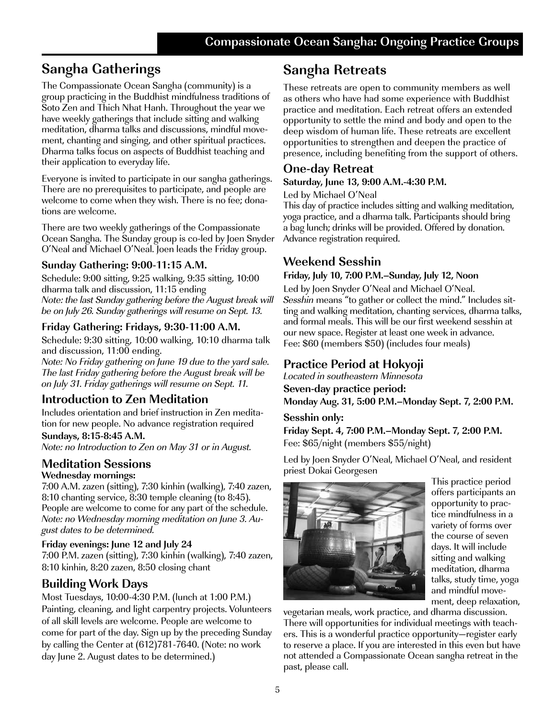## **Sangha Gatherings**

The Compassionate Ocean Sangha (community) is a group practicing in the Buddhist mindfulness traditions of Soto Zen and Thich Nhat Hanh. Throughout the year we have weekly gatherings that include sitting and walking meditation, dharma talks and discussions, mindful movement, chanting and singing, and other spiritual practices. Dharma talks focus on aspects of Buddhist teaching and their application to everyday life.

Everyone is invited to participate in our sangha gatherings. There are no prerequisites to participate, and people are welcome to come when they wish. There is no fee; donations are welcome.

There are two weekly gatherings of the Compassionate Ocean Sangha. The Sunday group is co-led by Joen Snyder O'Neal and Michael O'Neal. Joen leads the Friday group.

#### **Sunday Gathering: 9:00-11:15 A.M.**

Schedule: 9:00 sitting, 9:25 walking, 9:35 sitting, 10:00 dharma talk and discussion, 11:15 ending Note: the last Sunday gathering before the August break will be on July 26. Sunday gatherings will resume on Sept. 13.

#### **Friday Gathering: Fridays, 9:30-11:00 A.M.**

Schedule: 9:30 sitting, 10:00 walking, 10:10 dharma talk and discussion, 11:00 ending.

Note: No Friday gathering on June 19 due to the yard sale. The last Friday gathering before the August break will be on July 31. Friday gatherings will resume on Sept. 11.

## **Introduction to Zen Meditation**

Includes orientation and brief instruction in Zen meditation for new people. No advance registration required

**Sundays, 8:15-8:45 A.M.**  Note: no Introduction to Zen on May 31 or in August.

### **Meditation Sessions**

**Wednesday mornings:**

7:00 A.M. zazen (sitting), 7:30 kinhin (walking), 7:40 zazen, 8:10 chanting service, 8:30 temple cleaning (to 8:45). People are welcome to come for any part of the schedule. Note: no Wednesday morning meditation on June 3. August dates to be determined.

#### **Friday evenings: June 12 and July 24**

7:00 P.M. zazen (sitting), 7:30 kinhin (walking), 7:40 zazen, 8:10 kinhin, 8:20 zazen, 8:50 closing chant

### **Building Work Days**

Most Tuesdays, 10:00-4:30 P.M. (lunch at 1:00 P.M.) Painting, cleaning, and light carpentry projects. Volunteers of all skill levels are welcome. People are welcome to come for part of the day. Sign up by the preceding Sunday by calling the Center at (612)781-7640. (Note: no work day June 2. August dates to be determined.)

## **Sangha Retreats**

These retreats are open to community members as well as others who have had some experience with Buddhist practice and meditation. Each retreat offers an extended opportunity to settle the mind and body and open to the deep wisdom of human life. These retreats are excellent opportunities to strengthen and deepen the practice of presence, including benefiting from the support of others.

### **One-day Retreat**

#### **Saturday, June 13, 9:00 A.M.-4:30 P.M.**

Led by Michael O'Neal

This day of practice includes sitting and walking meditation, yoga practice, and a dharma talk. Participants should bring a bag lunch; drinks will be provided. Offered by donation. Advance registration required.

## **Weekend Sesshin**

#### **Friday, July 10, 7:00 P.M.–Sunday, July 12, Noon**

Led by Joen Snyder O'Neal and Michael O'Neal. Sesshin means "to gather or collect the mind." Includes sitting and walking meditation, chanting services, dharma talks, and formal meals. This will be our first weekend sesshin at our new space. Register at least one week in advance. Fee: \$60 (members \$50) (includes four meals)

## **Practice Period at Hokyoji**

Located in southeastern Minnesota

**Seven-day practice period:**

**Monday Aug. 31, 5:00 P.M.–Monday Sept. 7, 2:00 P.M.**

#### **Sesshin only:**

**Friday Sept. 4, 7:00 P.M.–Monday Sept. 7, 2:00 P.M.** Fee: \$65/night (members \$55/night)

Led by Joen Snyder O'Neal, Michael O'Neal, and resident priest Dokai Georgesen



This practice period offers participants an opportunity to practice mindfulness in a variety of forms over the course of seven days. It will include sitting and walking meditation, dharma talks, study time, yoga and mindful movement, deep relaxation,

vegetarian meals, work practice, and dharma discussion. There will opportunities for individual meetings with teachers. This is a wonderful practice opportunity—register early to reserve a place. If you are interested in this even but have not attended a Compassionate Ocean sangha retreat in the past, please call.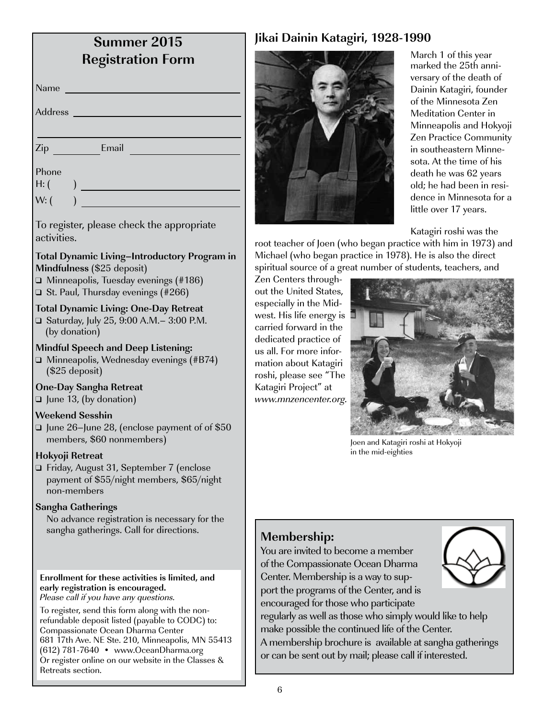| <b>Summer 2015</b><br><b>Registration Form</b>                                                                                                                                                                                                                                                                 |                           |
|----------------------------------------------------------------------------------------------------------------------------------------------------------------------------------------------------------------------------------------------------------------------------------------------------------------|---------------------------|
| Name                                                                                                                                                                                                                                                                                                           |                           |
| Address                                                                                                                                                                                                                                                                                                        |                           |
| Email<br>Zip                                                                                                                                                                                                                                                                                                   |                           |
| Phone<br>H: (                                                                                                                                                                                                                                                                                                  |                           |
| W: (                                                                                                                                                                                                                                                                                                           |                           |
| To register, please check the appropriate<br>activities.                                                                                                                                                                                                                                                       | roo                       |
| <b>Total Dynamic Living-Introductory Program in</b><br>Mindfulness (\$25 deposit)<br>$\Box$ Minneapolis, Tuesday evenings (#186)<br>$\Box$ St. Paul, Thursday evenings (#266)                                                                                                                                  | Mic<br>spir<br>Zer<br>out |
| <b>Total Dynamic Living: One-Day Retreat</b><br>□ Saturday, July 25, 9:00 A.M. - 3:00 P.M.<br>(by donation)                                                                                                                                                                                                    | esp<br>wes<br>carı<br>ded |
| <b>Mindful Speech and Deep Listening:</b><br>$\Box$ Minneapolis, Wednesday evenings (#B74)<br>$($25$ deposit)                                                                                                                                                                                                  | นร a<br>mat<br>rosl       |
| <b>One-Day Sangha Retreat</b><br>$\Box$ June 13, (by donation)                                                                                                                                                                                                                                                 | Kat<br>ww                 |
| <b>Weekend Sesshin</b><br>□ June 26-June 28, (enclose payment of of \$50<br>members, \$60 nonmembers)                                                                                                                                                                                                          |                           |
| Hokyoji Retreat<br>⊑ Friday, August 31, September 7 (enclose<br>payment of \$55/night members, \$65/night<br>non-members                                                                                                                                                                                       |                           |
| <b>Sangha Gatherings</b><br>No advance registration is necessary for the<br>sangha gatherings. Call for directions.                                                                                                                                                                                            |                           |
| Enrollment for these activities is limited, and<br>early registration is encouraged.<br>Please call if you have any questions.                                                                                                                                                                                 |                           |
| To register, send this form along with the non-<br>refundable deposit listed (payable to CODC) to:<br>Compassionate Ocean Dharma Center<br>681 17th Ave. NE Ste. 210, Minneapolis, MN 55413<br>(612) 781-7640 • www.OceanDharma.org<br>Or register online on our website in the Classes &<br>Retreats section. |                           |

#### **Jikai Dainin Katagiri, 1928-1990**



March 1 of this year marked the 25th anniversary of the death of Dainin Katagiri, founder of the Minnesota Zen Meditation Center in Minneapolis and Hokyoji Zen Practice Community in southeastern Minnesota. At the time of his death he was 62 years old; he had been in residence in Minnesota for a little over 17 years.

Katagiri roshi was the

t teacher of Joen (who began practice with him in 1973) and chael (who began practice in 1978). He is also the direct ritual source of a great number of students, teachers, and

1 Centers throughthe United States, ecially in the Midst. His life energy is ried forward in the licated practice of all. For more infortion about Katagiri hi, please see "The agiri Project" at w.mnzencenter.org.



Joen and Katagiri roshi at Hokyoji in the mid-eighties

#### **Membership:**

ou are invited to become a member the Compassionate Ocean Dharma enter. Membership is a way to support the programs of the Center, and is icouraged for those who participate gularly as well as those who simply would like to help ake possible the continued life of the Center. membership brochure is available at sangha gatherings can be sent out by mail; please call if interested.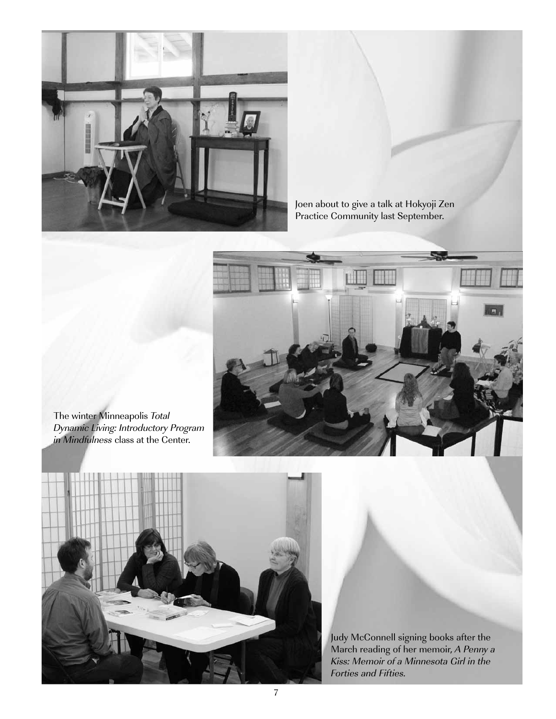

Joen about to give a talk at Hokyoji Zen Practice Community last September.



The winter Minneapolis Total Dynamic Living: Introductory Program in Mindfulness class at the Center.



Judy McConnell signing books after the March reading of her memoir, A Penny a Kiss: Memoir of a Minnesota Girl in the Forties and Fifties.